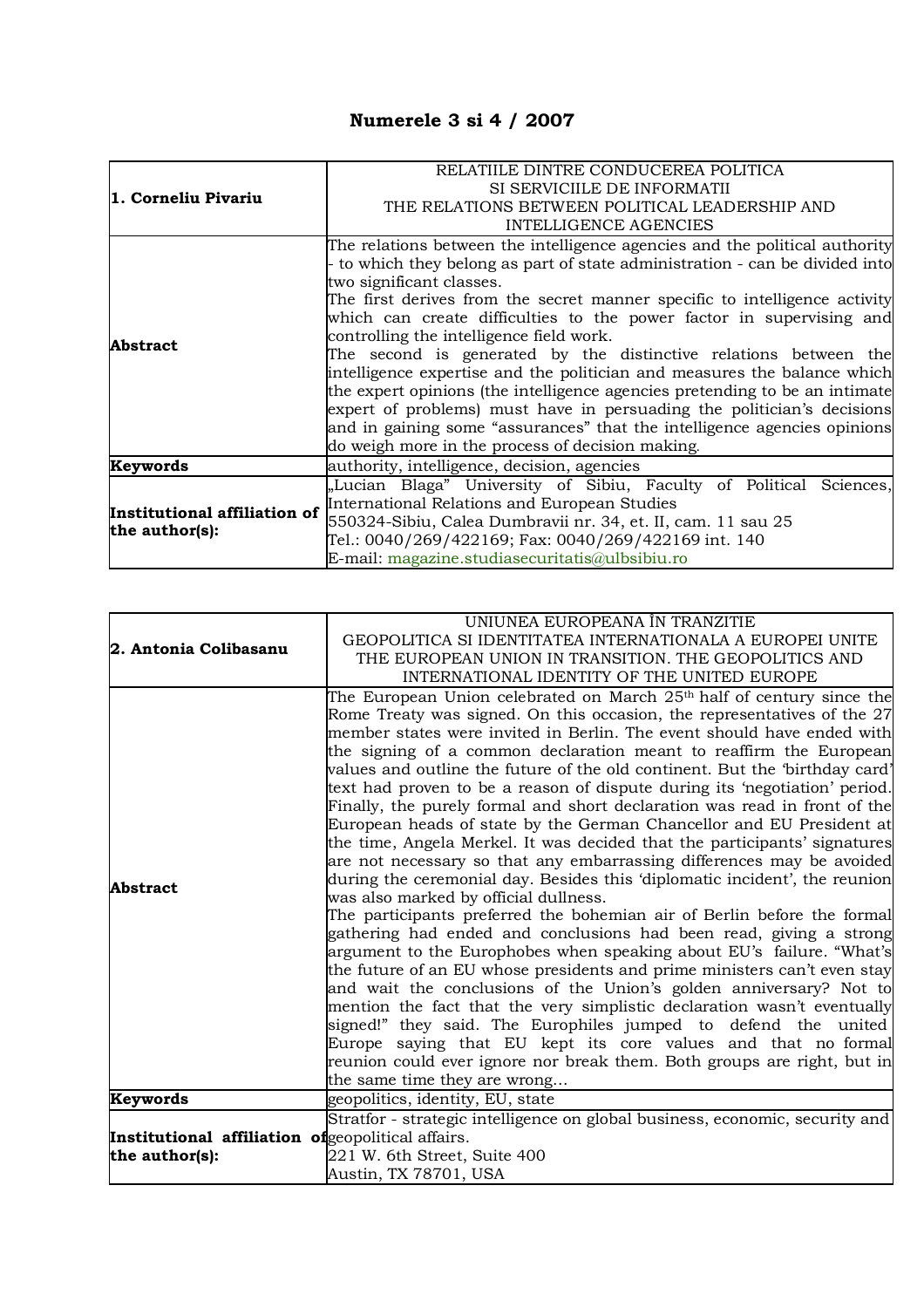## **Numerele 3 si 4 / 2007**

|                              | RELATIILE DINTRE CONDUCEREA POLITICA                                        |
|------------------------------|-----------------------------------------------------------------------------|
| 1. Corneliu Pivariu          | SI SERVICIILE DE INFORMATII                                                 |
|                              | THE RELATIONS BETWEEN POLITICAL LEADERSHIP AND                              |
|                              | <b>INTELLIGENCE AGENCIES</b>                                                |
|                              | The relations between the intelligence agencies and the political authority |
|                              | to which they belong as part of state administration - can be divided into  |
|                              | two significant classes.                                                    |
|                              | The first derives from the secret manner specific to intelligence activity  |
|                              | which can create difficulties to the power factor in supervising and        |
|                              | controlling the intelligence field work.                                    |
| <b>Abstract</b>              | The second is generated by the distinctive relations between the            |
|                              | intelligence expertise and the politician and measures the balance which    |
|                              | the expert opinions (the intelligence agencies pretending to be an intimate |
|                              | expert of problems) must have in persuading the politician's decisions      |
|                              | and in gaining some "assurances" that the intelligence agencies opinions    |
|                              | do weigh more in the process of decision making.                            |
| Keywords                     | authority, intelligence, decision, agencies                                 |
|                              | "Lucian Blaga" University of Sibiu, Faculty of Political Sciences,          |
| Institutional affiliation of | International Relations and European Studies                                |
|                              | 550324-Sibiu, Calea Dumbravii nr. 34, et. II, cam. 11 sau 25                |
| the author(s):               | Tel.: 0040/269/422169; Fax: 0040/269/422169 int. 140                        |
|                              | E-mail: magazine.studiasecuritatis@ulbsibiu.ro                              |

|                                                    | UNIUNEA EUROPEANA ÎN TRANZITIE                                                                                                                   |
|----------------------------------------------------|--------------------------------------------------------------------------------------------------------------------------------------------------|
| 2. Antonia Colibasanu                              | GEOPOLITICA SI IDENTITATEA INTERNATIONALA A EUROPEI UNITE                                                                                        |
|                                                    | THE EUROPEAN UNION IN TRANSITION. THE GEOPOLITICS AND                                                                                            |
|                                                    | INTERNATIONAL IDENTITY OF THE UNITED EUROPE                                                                                                      |
|                                                    | The European Union celebrated on March 25th half of century since the<br>Rome Treaty was signed. On this occasion, the representatives of the 27 |
|                                                    | member states were invited in Berlin. The event should have ended with                                                                           |
|                                                    | the signing of a common declaration meant to reaffirm the European                                                                               |
|                                                    | values and outline the future of the old continent. But the 'birthday card'                                                                      |
|                                                    | text had proven to be a reason of dispute during its 'negotiation' period.                                                                       |
|                                                    | Finally, the purely formal and short declaration was read in front of the                                                                        |
|                                                    | European heads of state by the German Chancellor and EU President at                                                                             |
|                                                    | the time, Angela Merkel. It was decided that the participants' signatures                                                                        |
|                                                    | are not necessary so that any embarrassing differences may be avoided                                                                            |
| <b>Abstract</b>                                    | during the ceremonial day. Besides this 'diplomatic incident', the reunion                                                                       |
|                                                    | was also marked by official dullness.                                                                                                            |
|                                                    | The participants preferred the bohemian air of Berlin before the formal                                                                          |
|                                                    | gathering had ended and conclusions had been read, giving a strong                                                                               |
|                                                    | argument to the Europhobes when speaking about EU's failure. "What's                                                                             |
|                                                    | the future of an EU whose presidents and prime ministers can't even stay                                                                         |
|                                                    | and wait the conclusions of the Union's golden anniversary? Not to                                                                               |
|                                                    | mention the fact that the very simplistic declaration wasn't eventually<br>signed!" they said. The Europhiles jumped to defend the united        |
|                                                    | Europe saying that EU kept its core values and that no formal                                                                                    |
|                                                    | reunion could ever ignore nor break them. Both groups are right, but in                                                                          |
|                                                    | the same time they are wrong                                                                                                                     |
| Keywords                                           | geopolitics, identity, EU, state                                                                                                                 |
|                                                    | Stratfor - strategic intelligence on global business, economic, security and                                                                     |
| Institutional affiliation of geopolitical affairs. |                                                                                                                                                  |
| the author(s):                                     | 221 W. 6th Street, Suite 400                                                                                                                     |
|                                                    | Austin, TX 78701, USA                                                                                                                            |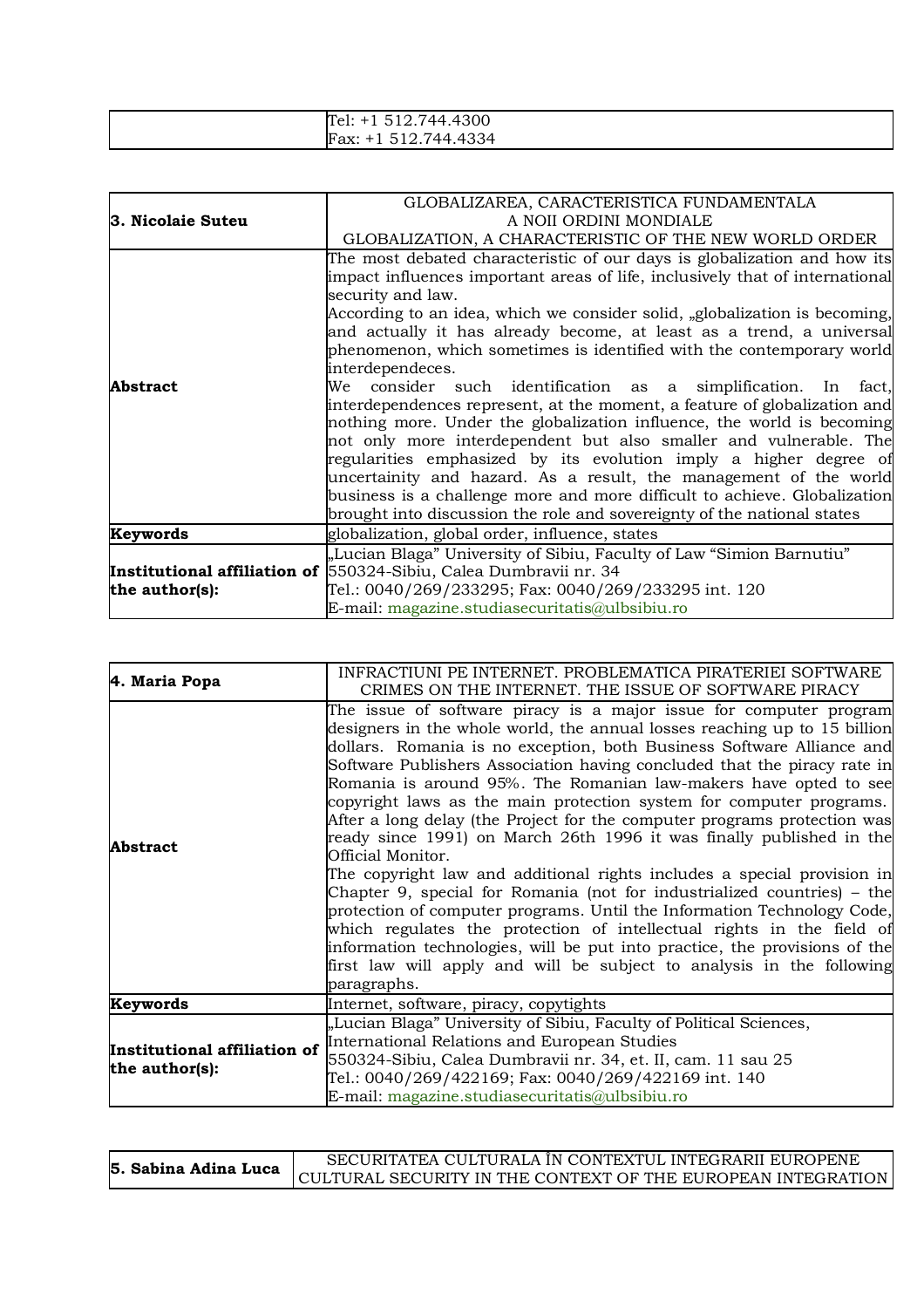| 744.4300<br>irer:<br><u>ъ.</u><br>- 14.17<br>ຼ |
|------------------------------------------------|
| .4334<br>744<br>Fax:<br>51<br>____             |

|                   | GLOBALIZAREA, CARACTERISTICA FUNDAMENTALA                                                                                                                                                                                                                                                                                                                                                                                                                                                                                                                                                                                                                                                                                                                                                                                                                                                                                                                                                                                       |
|-------------------|---------------------------------------------------------------------------------------------------------------------------------------------------------------------------------------------------------------------------------------------------------------------------------------------------------------------------------------------------------------------------------------------------------------------------------------------------------------------------------------------------------------------------------------------------------------------------------------------------------------------------------------------------------------------------------------------------------------------------------------------------------------------------------------------------------------------------------------------------------------------------------------------------------------------------------------------------------------------------------------------------------------------------------|
| 3. Nicolaie Suteu | A NOII ORDINI MONDIALE                                                                                                                                                                                                                                                                                                                                                                                                                                                                                                                                                                                                                                                                                                                                                                                                                                                                                                                                                                                                          |
|                   | GLOBALIZATION, A CHARACTERISTIC OF THE NEW WORLD ORDER                                                                                                                                                                                                                                                                                                                                                                                                                                                                                                                                                                                                                                                                                                                                                                                                                                                                                                                                                                          |
| <b>Abstract</b>   | The most debated characteristic of our days is globalization and how its<br>impact influences important areas of life, inclusively that of international<br>security and law.<br>According to an idea, which we consider solid, "globalization is becoming,<br>and actually it has already become, at least as a trend, a universal<br>phenomenon, which sometimes is identified with the contemporary world<br>interdependeces.<br>We consider such identification as a simplification. In fact,<br>interdependences represent, at the moment, a feature of globalization and<br>nothing more. Under the globalization influence, the world is becoming<br>not only more interdependent but also smaller and vulnerable. The<br>regularities emphasized by its evolution imply a higher degree of<br>uncertainity and hazard. As a result, the management of the world<br>business is a challenge more and more difficult to achieve. Globalization<br>brought into discussion the role and sovereignty of the national states |
| Keywords          | globalization, global order, influence, states                                                                                                                                                                                                                                                                                                                                                                                                                                                                                                                                                                                                                                                                                                                                                                                                                                                                                                                                                                                  |
|                   | "Lucian Blaga" University of Sibiu, Faculty of Law "Simion Barnutiu"                                                                                                                                                                                                                                                                                                                                                                                                                                                                                                                                                                                                                                                                                                                                                                                                                                                                                                                                                            |
|                   | Institutional affiliation of 550324-Sibiu, Calea Dumbravii nr. 34                                                                                                                                                                                                                                                                                                                                                                                                                                                                                                                                                                                                                                                                                                                                                                                                                                                                                                                                                               |
| the author(s):    | Tel.: 0040/269/233295; Fax: 0040/269/233295 int. 120                                                                                                                                                                                                                                                                                                                                                                                                                                                                                                                                                                                                                                                                                                                                                                                                                                                                                                                                                                            |
|                   | E-mail: magazine.studiasecuritatis@ulbsibiu.ro                                                                                                                                                                                                                                                                                                                                                                                                                                                                                                                                                                                                                                                                                                                                                                                                                                                                                                                                                                                  |

| 4. Maria Popa                                  | INFRACTIUNI PE INTERNET. PROBLEMATICA PIRATERIEI SOFTWARE<br>CRIMES ON THE INTERNET. THE ISSUE OF SOFTWARE PIRACY                                                                                                                                                                                                                                                                                                                                                                                                                                                                                                                                                                                                                                                                                                                                                                                                                                                                                                                                                                                        |
|------------------------------------------------|----------------------------------------------------------------------------------------------------------------------------------------------------------------------------------------------------------------------------------------------------------------------------------------------------------------------------------------------------------------------------------------------------------------------------------------------------------------------------------------------------------------------------------------------------------------------------------------------------------------------------------------------------------------------------------------------------------------------------------------------------------------------------------------------------------------------------------------------------------------------------------------------------------------------------------------------------------------------------------------------------------------------------------------------------------------------------------------------------------|
| <b>Abstract</b>                                | The issue of software piracy is a major issue for computer program<br>designers in the whole world, the annual losses reaching up to 15 billion<br>dollars. Romania is no exception, both Business Software Alliance and<br>Software Publishers Association having concluded that the piracy rate in<br>Romania is around 95%. The Romanian law-makers have opted to see<br>copyright laws as the main protection system for computer programs.<br>After a long delay (the Project for the computer programs protection was<br>ready since 1991) on March 26th 1996 it was finally published in the<br>Official Monitor.<br>The copyright law and additional rights includes a special provision in<br>Chapter 9, special for Romania (not for industrialized countries) – the<br>protection of computer programs. Until the Information Technology Code,<br>which regulates the protection of intellectual rights in the field of<br>information technologies, will be put into practice, the provisions of the<br>first law will apply and will be subject to analysis in the following<br>paragraphs. |
| Keywords                                       | Internet, software, piracy, copytights                                                                                                                                                                                                                                                                                                                                                                                                                                                                                                                                                                                                                                                                                                                                                                                                                                                                                                                                                                                                                                                                   |
| Institutional affiliation of<br>the author(s): | "Lucian Blaga" University of Sibiu, Faculty of Political Sciences,<br>International Relations and European Studies<br>550324-Sibiu, Calea Dumbravii nr. 34, et. II, cam. 11 sau 25<br>Tel.: 0040/269/422169; Fax: 0040/269/422169 int. 140<br>E-mail: magazine.studiasecuritatis@ulbsibiu.ro                                                                                                                                                                                                                                                                                                                                                                                                                                                                                                                                                                                                                                                                                                                                                                                                             |

| 5. Sabina Adina Luca | SECURITATEA CULTURALA ÎN CONTEXTUL INTEGRARII EUROPENE       |
|----------------------|--------------------------------------------------------------|
|                      | CULTURAL SECURITY IN THE CONTEXT OF THE EUROPEAN INTEGRATION |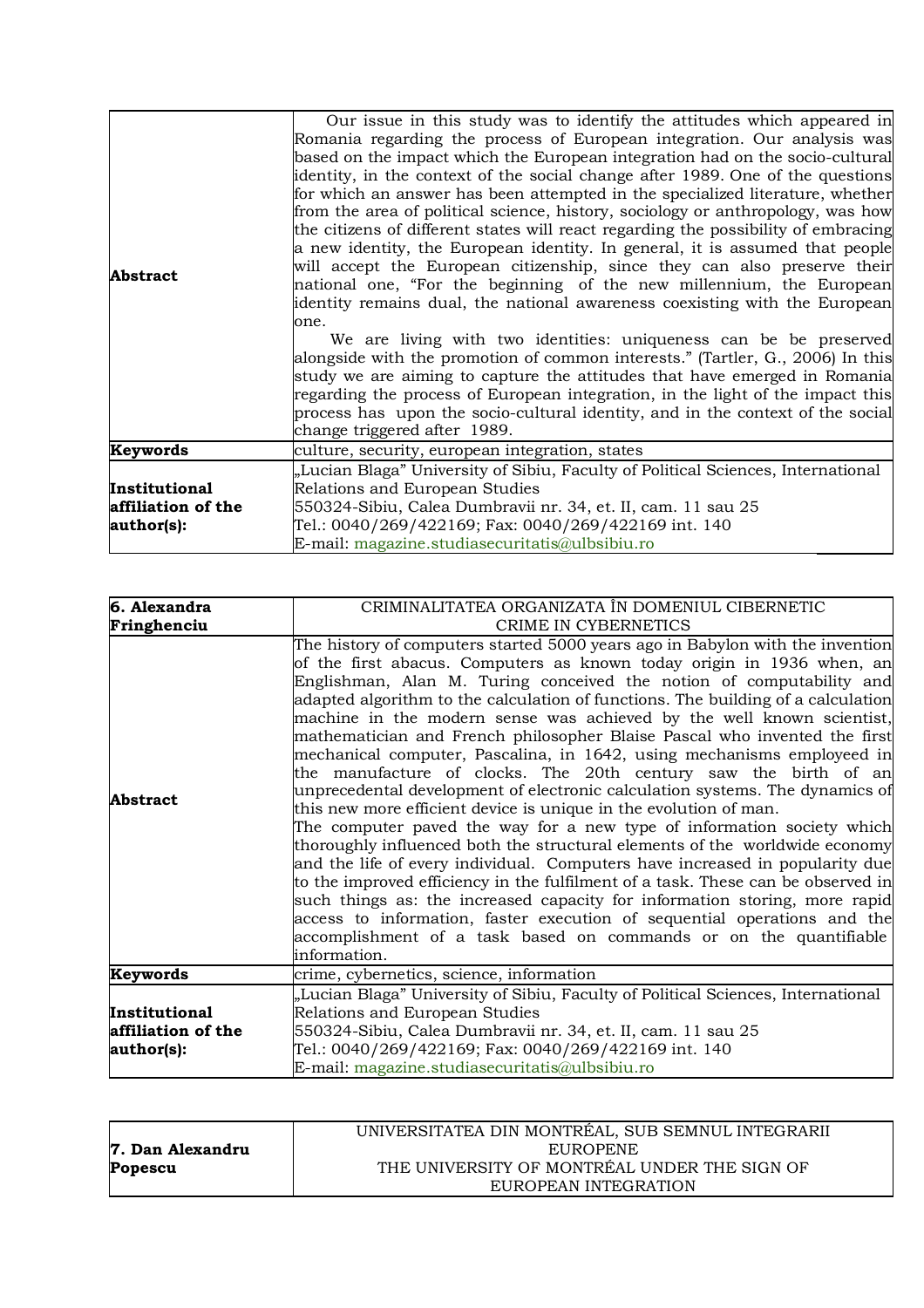| Abstract                                          | Our issue in this study was to identify the attitudes which appeared in<br>Romania regarding the process of European integration. Our analysis was<br>based on the impact which the European integration had on the socio-cultural<br>identity, in the context of the social change after 1989. One of the questions<br>for which an answer has been attempted in the specialized literature, whether<br>from the area of political science, history, sociology or anthropology, was how<br>the citizens of different states will react regarding the possibility of embracing<br>a new identity, the European identity. In general, it is assumed that people<br>will accept the European citizenship, since they can also preserve their<br>national one, "For the beginning of the new millennium, the European<br>dentity remains dual, the national awareness coexisting with the European<br>one.<br>We are living with two identities: uniqueness can be be preserved<br>alongside with the promotion of common interests." (Tartler, G., 2006) In this<br>study we are aiming to capture the attitudes that have emerged in Romania<br>regarding the process of European integration, in the light of the impact this<br>process has upon the socio-cultural identity, and in the context of the social<br>change triggered after 1989. |
|---------------------------------------------------|-------------------------------------------------------------------------------------------------------------------------------------------------------------------------------------------------------------------------------------------------------------------------------------------------------------------------------------------------------------------------------------------------------------------------------------------------------------------------------------------------------------------------------------------------------------------------------------------------------------------------------------------------------------------------------------------------------------------------------------------------------------------------------------------------------------------------------------------------------------------------------------------------------------------------------------------------------------------------------------------------------------------------------------------------------------------------------------------------------------------------------------------------------------------------------------------------------------------------------------------------------------------------------------------------------------------------------------------------|
| Keywords                                          | culture, security, european integration, states                                                                                                                                                                                                                                                                                                                                                                                                                                                                                                                                                                                                                                                                                                                                                                                                                                                                                                                                                                                                                                                                                                                                                                                                                                                                                                 |
| Institutional<br>affiliation of the<br>author(s): | "Lucian Blaga" University of Sibiu, Faculty of Political Sciences, International<br>Relations and European Studies<br>550324-Sibiu, Calea Dumbravii nr. 34, et. II, cam. 11 sau 25<br>Tel.: 0040/269/422169; Fax: 0040/269/422169 int. 140<br>E-mail: magazine.studiasecuritatis@ulbsibiu.ro                                                                                                                                                                                                                                                                                                                                                                                                                                                                                                                                                                                                                                                                                                                                                                                                                                                                                                                                                                                                                                                    |

| CRIMINALITATEA ORGANIZATA ÎN DOMENIUL CIBERNETIC                                                                                                                                                                                                                                                                                                                                                                                                                                                                                                                                                                                                                                                                                                                                                                                                                                                                                                                                                                                                                                                                                                                                                                                                                                                                                                       |
|--------------------------------------------------------------------------------------------------------------------------------------------------------------------------------------------------------------------------------------------------------------------------------------------------------------------------------------------------------------------------------------------------------------------------------------------------------------------------------------------------------------------------------------------------------------------------------------------------------------------------------------------------------------------------------------------------------------------------------------------------------------------------------------------------------------------------------------------------------------------------------------------------------------------------------------------------------------------------------------------------------------------------------------------------------------------------------------------------------------------------------------------------------------------------------------------------------------------------------------------------------------------------------------------------------------------------------------------------------|
| CRIME IN CYBERNETICS                                                                                                                                                                                                                                                                                                                                                                                                                                                                                                                                                                                                                                                                                                                                                                                                                                                                                                                                                                                                                                                                                                                                                                                                                                                                                                                                   |
| The history of computers started 5000 years ago in Babylon with the invention<br>of the first abacus. Computers as known today origin in 1936 when, an<br>Englishman, Alan M. Turing conceived the notion of computability and<br>adapted algorithm to the calculation of functions. The building of a calculation<br>machine in the modern sense was achieved by the well known scientist,<br>mathematician and French philosopher Blaise Pascal who invented the first<br>mechanical computer, Pascalina, in 1642, using mechanisms employeed in<br>the manufacture of clocks. The 20th century saw the birth of an<br>unprecedental development of electronic calculation systems. The dynamics of<br>this new more efficient device is unique in the evolution of man.<br>The computer paved the way for a new type of information society which<br>thoroughly influenced both the structural elements of the worldwide economy<br>and the life of every individual. Computers have increased in popularity due<br>to the improved efficiency in the fulfilment of a task. These can be observed in<br>such things as: the increased capacity for information storing, more rapid<br>access to information, faster execution of sequential operations and the<br>accomplishment of a task based on commands or on the quantifiable<br>information. |
| crime, cybernetics, science, information                                                                                                                                                                                                                                                                                                                                                                                                                                                                                                                                                                                                                                                                                                                                                                                                                                                                                                                                                                                                                                                                                                                                                                                                                                                                                                               |
| "Lucian Blaga" University of Sibiu, Faculty of Political Sciences, International<br>Relations and European Studies<br>550324-Sibiu, Calea Dumbravii nr. 34, et. II, cam. 11 sau 25<br>Tel.: 0040/269/422169; Fax: 0040/269/422169 int. 140<br>E-mail: magazine.studiasecuritatis@ulbsibiu.ro                                                                                                                                                                                                                                                                                                                                                                                                                                                                                                                                                                                                                                                                                                                                                                                                                                                                                                                                                                                                                                                           |
|                                                                                                                                                                                                                                                                                                                                                                                                                                                                                                                                                                                                                                                                                                                                                                                                                                                                                                                                                                                                                                                                                                                                                                                                                                                                                                                                                        |

|                  | UNIVERSITATEA DIN MONTRÉAL, SUB SEMNUL INTEGRARII |
|------------------|---------------------------------------------------|
| 7. Dan Alexandru | <b>EUROPENE</b>                                   |
| Popescu          | THE UNIVERSITY OF MONTRÉAL UNDER THE SIGN OF      |
|                  | EUROPEAN INTEGRATION                              |